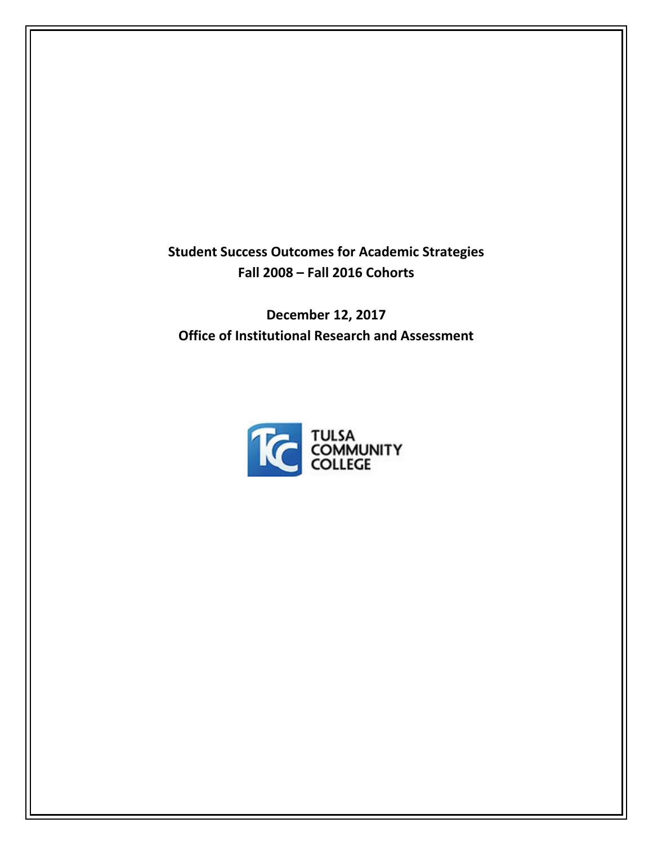**Student Success Outcomes for Academic Strategies Fall 2008 – Fall 2016 Cohorts**

**December 12, 2017 Office of Institutional Research and Assessment**

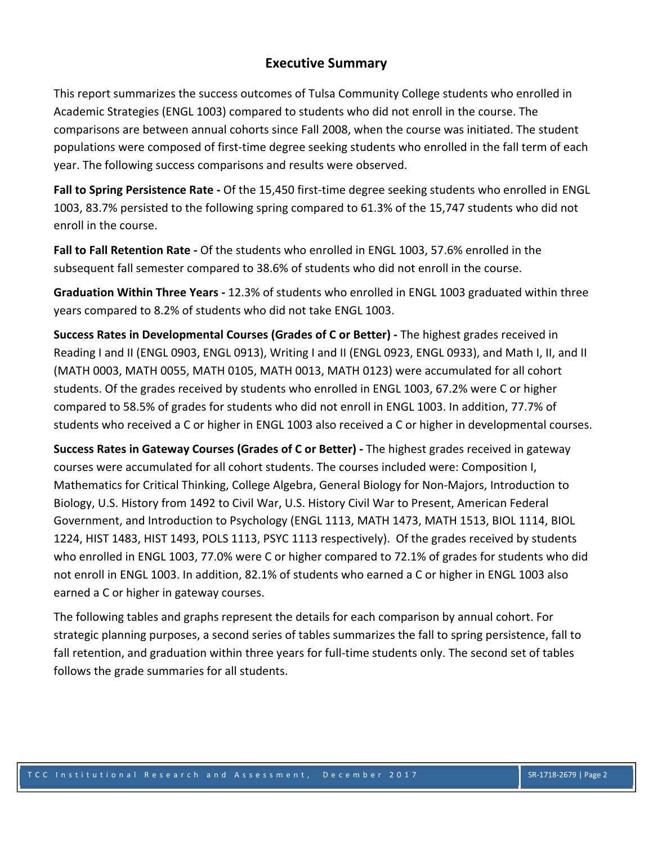### **Executive Summary**

This report summarizes the success outcomes of Tulsa Community College students who enrolled in Academic Strategies (ENGL 1003) compared to students who did not enroll in the course. The comparisons are between annual cohorts since Fall 2008, when the course was initiated. The student populations were composed of first‐time degree seeking students who enrolled in the fall term of each year. The following success comparisons and results were observed.

**Fall to Spring Persistence Rate ‐** Of the 15,450 first‐time degree seeking students who enrolled in ENGL 1003, 83.7% persisted to the following spring compared to 61.3% of the 15,747 students who did not enroll in the course.

**Fall to Fall Retention Rate ‐** Of the students who enrolled in ENGL 1003, 57.6% enrolled in the subsequent fall semester compared to 38.6% of students who did not enroll in the course.

**Graduation Within Three Years ‐** 12.3% of students who enrolled in ENGL 1003 graduated within three years compared to 8.2% of students who did not take ENGL 1003.

**Success Rates in Developmental Courses (Grades of C or Better) ‐** The highest grades received in Reading I and II (ENGL 0903, ENGL 0913), Writing I and II (ENGL 0923, ENGL 0933), and Math I, II, and II (MATH 0003, MATH 0055, MATH 0105, MATH 0013, MATH 0123) were accumulated for all cohort students. Of the grades received by students who enrolled in ENGL 1003, 67.2% were C or higher compared to 58.5% of grades for students who did not enroll in ENGL 1003. In addition, 77.7% of students who received a C or higher in ENGL 1003 also received a C or higher in developmental courses.

**Success Rates in Gateway Courses (Grades of C or Better) ‐** The highest grades received in gateway courses were accumulated for all cohort students. The courses included were: Composition I, Mathematics for Critical Thinking, College Algebra, General Biology for Non‐Majors, Introduction to Biology, U.S. History from 1492 to Civil War, U.S. History Civil War to Present, American Federal Government, and Introduction to Psychology (ENGL 1113, MATH 1473, MATH 1513, BIOL 1114, BIOL 1224, HIST 1483, HIST 1493, POLS 1113, PSYC 1113 respectively). Of the grades received by students who enrolled in ENGL 1003, 77.0% were C or higher compared to 72.1% of grades for students who did not enroll in ENGL 1003. In addition, 82.1% of students who earned a C or higher in ENGL 1003 also earned a C or higher in gateway courses.

The following tables and graphs represent the details for each comparison by annual cohort. For strategic planning purposes, a second series of tables summarizes the fall to spring persistence, fall to fall retention, and graduation within three years for full-time students only. The second set of tables follows the grade summaries for all students.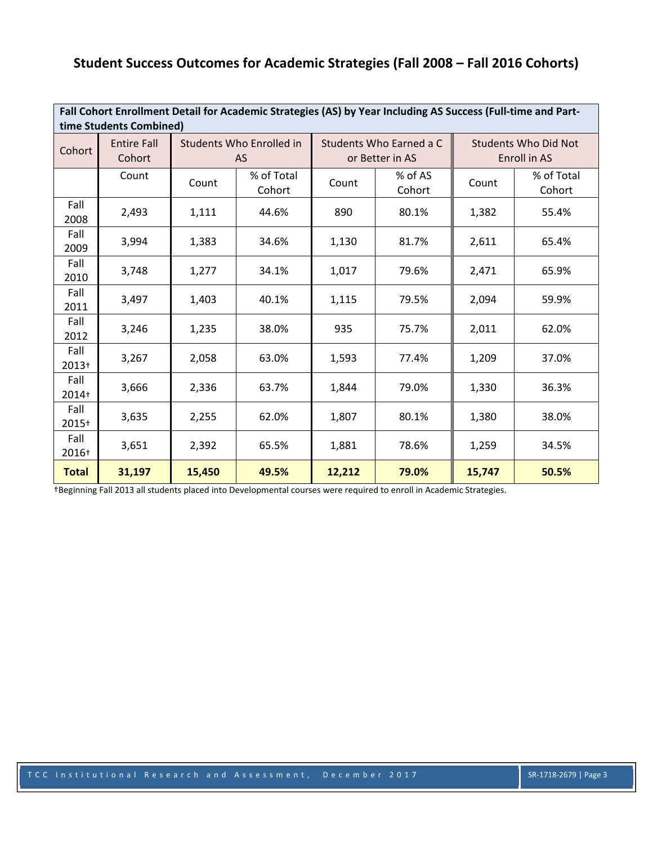# **Student Success Outcomes for Academic Strategies (Fall 2008 – Fall 2016 Cohorts)**

| Fall Cohort Enrollment Detail for Academic Strategies (AS) by Year Including AS Success (Full-time and Part-<br>time Students Combined) |                              |        |                                       |        |                                            |        |                                             |  |  |  |  |
|-----------------------------------------------------------------------------------------------------------------------------------------|------------------------------|--------|---------------------------------------|--------|--------------------------------------------|--------|---------------------------------------------|--|--|--|--|
| Cohort                                                                                                                                  | <b>Entire Fall</b><br>Cohort |        | Students Who Enrolled in<br><b>AS</b> |        | Students Who Earned a C<br>or Better in AS |        | <b>Students Who Did Not</b><br>Enroll in AS |  |  |  |  |
|                                                                                                                                         | Count                        | Count  | % of Total<br>Cohort                  | Count  | % of AS<br>Cohort                          | Count  | % of Total<br>Cohort                        |  |  |  |  |
| Fall<br>2008                                                                                                                            | 2,493                        | 1,111  | 44.6%                                 | 890    | 80.1%                                      | 1,382  | 55.4%                                       |  |  |  |  |
| Fall<br>2009                                                                                                                            | 3,994                        | 1,383  | 34.6%                                 | 1,130  | 81.7%                                      | 2,611  | 65.4%                                       |  |  |  |  |
| Fall<br>2010                                                                                                                            | 3,748                        | 1,277  | 34.1%                                 | 1,017  | 79.6%                                      | 2,471  | 65.9%                                       |  |  |  |  |
| Fall<br>2011                                                                                                                            | 3,497                        | 1,403  | 40.1%                                 | 1,115  | 79.5%                                      | 2,094  | 59.9%                                       |  |  |  |  |
| Fall<br>2012                                                                                                                            | 3,246                        | 1,235  | 38.0%                                 | 935    | 75.7%                                      | 2,011  | 62.0%                                       |  |  |  |  |
| Fall<br>$2013+$                                                                                                                         | 3,267                        | 2,058  | 63.0%                                 | 1,593  | 77.4%                                      | 1,209  | 37.0%                                       |  |  |  |  |
| Fall<br>2014+                                                                                                                           | 3,666                        | 2,336  | 63.7%                                 | 1,844  | 79.0%                                      | 1,330  | 36.3%                                       |  |  |  |  |
| Fall<br>2015+                                                                                                                           | 3,635                        | 2,255  | 62.0%                                 | 1,807  | 80.1%                                      | 1,380  | 38.0%                                       |  |  |  |  |
| Fall<br>2016+                                                                                                                           | 3,651                        | 2,392  | 65.5%                                 | 1,881  | 78.6%                                      | 1,259  | 34.5%                                       |  |  |  |  |
| <b>Total</b>                                                                                                                            | 31,197                       | 15,450 | 49.5%                                 | 12,212 | 79.0%                                      | 15,747 | 50.5%                                       |  |  |  |  |

†Beginning Fall 2013 all students placed into Developmental courses were required to enroll in Academic Strategies.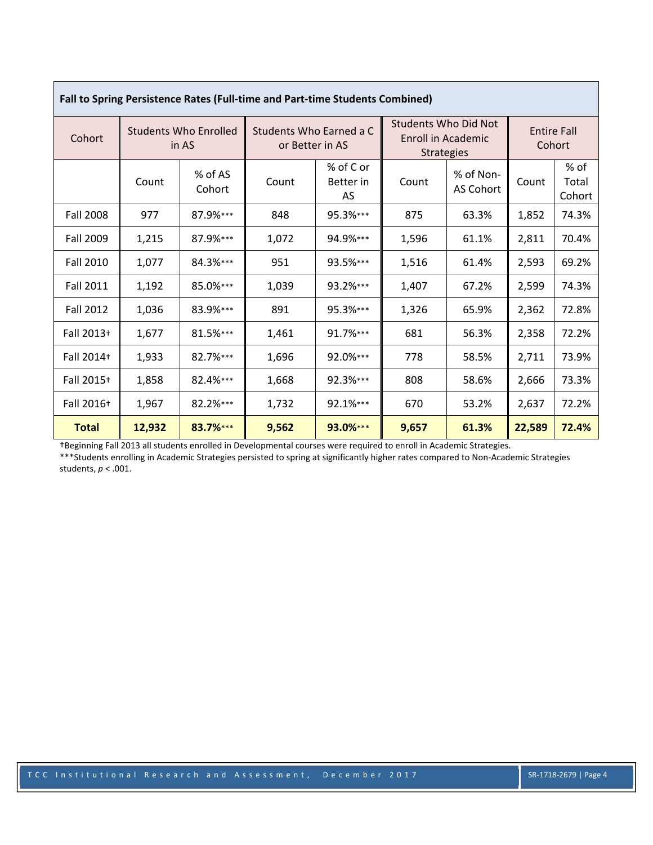| <b>Fall to Spring Persistence Rates (Full-time and Part-time Students Combined)</b> |                                       |                   |                                            |                              |                                                                 |                        |                              |                         |  |  |  |  |
|-------------------------------------------------------------------------------------|---------------------------------------|-------------------|--------------------------------------------|------------------------------|-----------------------------------------------------------------|------------------------|------------------------------|-------------------------|--|--|--|--|
| Cohort                                                                              | <b>Students Who Enrolled</b><br>in AS |                   | Students Who Earned a C<br>or Better in AS |                              | Students Who Did Not<br>Enroll in Academic<br><b>Strategies</b> |                        | <b>Entire Fall</b><br>Cohort |                         |  |  |  |  |
|                                                                                     | Count                                 | % of AS<br>Cohort | Count                                      | % of C or<br>Better in<br>AS | Count                                                           | % of Non-<br>AS Cohort | Count                        | % of<br>Total<br>Cohort |  |  |  |  |
| <b>Fall 2008</b>                                                                    | 977                                   | 87.9%***          | 848                                        | 95.3%***                     | 875                                                             | 63.3%                  | 1,852                        | 74.3%                   |  |  |  |  |
| Fall 2009                                                                           | 1,215                                 | 87.9%***          | 1,072                                      | 94.9%***                     | 1,596                                                           | 61.1%                  | 2,811                        | 70.4%                   |  |  |  |  |
| <b>Fall 2010</b>                                                                    | 1,077                                 | 84.3%***          | 951                                        | 93.5%***                     | 1,516                                                           | 61.4%                  | 2,593                        | 69.2%                   |  |  |  |  |
| <b>Fall 2011</b>                                                                    | 1,192                                 | 85.0%***          | 1,039                                      | 93.2%***                     | 1,407                                                           | 67.2%                  | 2,599                        | 74.3%                   |  |  |  |  |
| <b>Fall 2012</b>                                                                    | 1,036                                 | 83.9%***          | 891                                        | 95.3%***                     | 1,326                                                           | 65.9%                  | 2,362                        | 72.8%                   |  |  |  |  |
| Fall 2013+                                                                          | 1,677                                 | 81.5%***          | 1,461                                      | 91.7%***                     | 681                                                             | 56.3%                  | 2,358                        | 72.2%                   |  |  |  |  |
| Fall 2014+                                                                          | 1,933                                 | 82.7%***          | 1,696                                      | 92.0%***                     | 778                                                             | 58.5%                  | 2,711                        | 73.9%                   |  |  |  |  |
| Fall 2015+                                                                          | 1,858                                 | 82.4%***          | 1,668                                      | 92.3%***                     | 808                                                             | 58.6%                  | 2,666                        | 73.3%                   |  |  |  |  |
| Fall 2016+                                                                          | 1,967                                 | 82.2%***          | 1,732                                      | 92.1%***                     | 670                                                             | 53.2%                  | 2,637                        | 72.2%                   |  |  |  |  |
| <b>Total</b>                                                                        | 12,932                                | 83.7%***          | 9,562                                      | 93.0%***                     | 9,657                                                           | 61.3%                  | 22,589                       | 72.4%                   |  |  |  |  |

|  | Fall to Spring Persistence Rates (Full-time and Part-time Students Combined) |  |
|--|------------------------------------------------------------------------------|--|
|  |                                                                              |  |

†Beginning Fall 2013 all students enrolled in Developmental courses were required to enroll in Academic Strategies.

\*\*\*Students enrolling in Academic Strategies persisted to spring at significantly higher rates compared to Non‐Academic Strategies students, *p* < .001.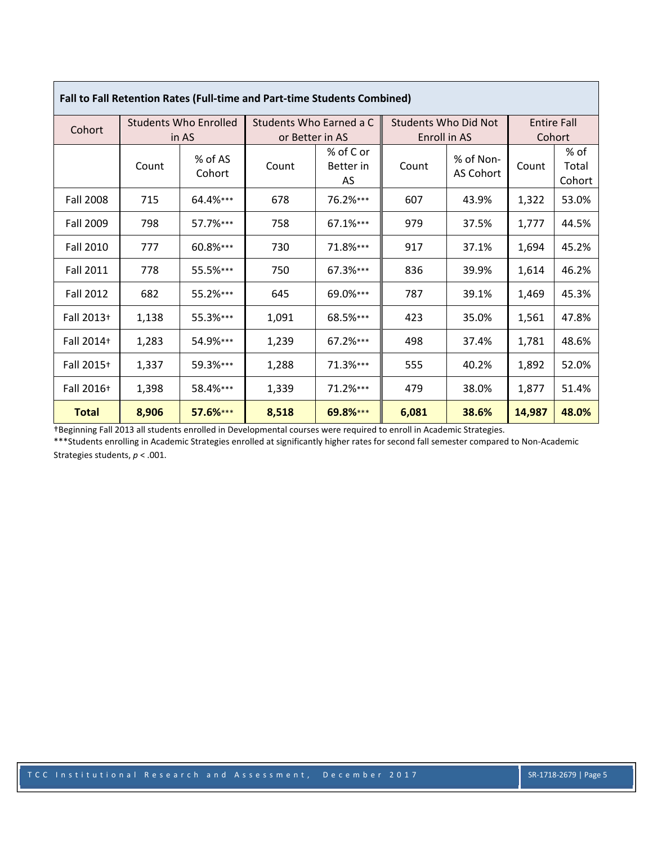| Fall to Fall Retention Rates (Full-time and Part-time Students Combined) |                              |                   |                         |                              |                      |                        |        |                         |  |  |  |
|--------------------------------------------------------------------------|------------------------------|-------------------|-------------------------|------------------------------|----------------------|------------------------|--------|-------------------------|--|--|--|
| Cohort                                                                   | <b>Students Who Enrolled</b> |                   | Students Who Earned a C |                              | Students Who Did Not |                        |        | <b>Entire Fall</b>      |  |  |  |
|                                                                          | in AS                        |                   | or Better in AS         |                              | Enroll in AS         |                        | Cohort |                         |  |  |  |
|                                                                          | Count                        | % of AS<br>Cohort | Count                   | % of C or<br>Better in<br>AS | Count                | % of Non-<br>AS Cohort | Count  | % of<br>Total<br>Cohort |  |  |  |
| <b>Fall 2008</b>                                                         | 715                          | 64.4%***          | 678                     | 76.2%***                     | 607                  | 43.9%                  | 1,322  | 53.0%                   |  |  |  |
| <b>Fall 2009</b>                                                         | 798                          | 57.7%***          | 758                     | 67.1%***                     | 979                  | 37.5%                  | 1,777  | 44.5%                   |  |  |  |
| <b>Fall 2010</b>                                                         | 777                          | 60.8%***          | 730                     | 71.8%***                     | 917                  | 37.1%                  | 1,694  | 45.2%                   |  |  |  |
| <b>Fall 2011</b>                                                         | 778                          | 55.5%***          | 750                     | 67.3%***                     | 836                  | 39.9%                  | 1,614  | 46.2%                   |  |  |  |
| <b>Fall 2012</b>                                                         | 682                          | 55.2%***          | 645                     | 69.0%***                     | 787                  | 39.1%                  | 1,469  | 45.3%                   |  |  |  |
| Fall 2013+                                                               | 1,138                        | 55.3%***          | 1,091                   | 68.5%***                     | 423                  | 35.0%                  | 1,561  | 47.8%                   |  |  |  |
| Fall 2014+                                                               | 1,283                        | 54.9%***          | 1,239                   | 67.2%***                     | 498                  | 37.4%                  | 1,781  | 48.6%                   |  |  |  |
| Fall 2015+                                                               | 1,337                        | 59.3%***          | 1,288                   | 71.3%***                     | 555                  | 40.2%                  | 1,892  | 52.0%                   |  |  |  |
| Fall 2016+                                                               | 1,398                        | 58.4%***          | 1,339                   | 71.2%***                     | 479                  | 38.0%                  | 1,877  | 51.4%                   |  |  |  |
| <b>Total</b>                                                             | 8,906                        | 57.6%***          | 8,518                   | 69.8%***                     | 6,081                | 38.6%                  | 14,987 | 48.0%                   |  |  |  |

| Fall to Fall Retention Rates (Full-time and Part-time Students Combined |  |
|-------------------------------------------------------------------------|--|
|                                                                         |  |

Г

†Beginning Fall 2013 all students enrolled in Developmental courses were required to enroll in Academic Strategies.

\*\*\*Students enrolling in Academic Strategies enrolled at significantly higher rates for second fall semester compared to Non‐Academic Strategies students, *p* < .001.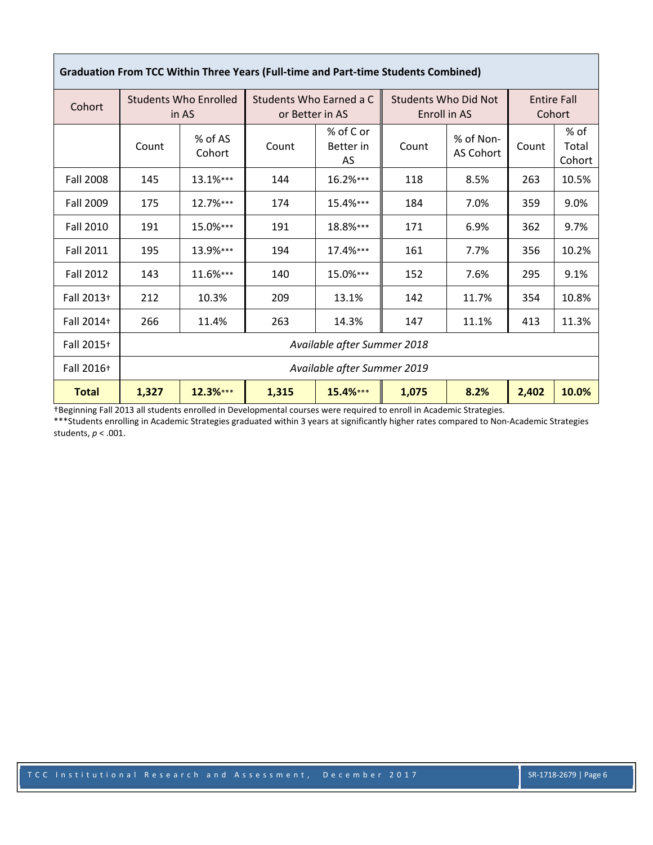| Cohort           | <b>Students Who Enrolled</b><br>in AS |                             | Students Who Earned a C<br>or Better in AS |                              | <b>Students Who Did Not</b><br>Enroll in AS |                        | <b>Entire Fall</b><br>Cohort |                         |
|------------------|---------------------------------------|-----------------------------|--------------------------------------------|------------------------------|---------------------------------------------|------------------------|------------------------------|-------------------------|
|                  | Count                                 | % of AS<br>Cohort           | Count                                      | % of C or<br>Better in<br>AS | Count                                       | % of Non-<br>AS Cohort | Count                        | % of<br>Total<br>Cohort |
| <b>Fall 2008</b> | 145                                   | 13.1%***                    | 144                                        | 16.2%***                     | 118                                         | 8.5%                   | 263                          | 10.5%                   |
| <b>Fall 2009</b> | 175                                   | 12.7%***                    | 174                                        | 15.4%***                     | 184                                         | 7.0%                   | 359                          | 9.0%                    |
| <b>Fall 2010</b> | 191                                   | 15.0%***                    | 191                                        | 18.8%***                     | 171                                         | 6.9%                   | 362                          | 9.7%                    |
| <b>Fall 2011</b> | 195                                   | 13.9%***                    | 194                                        | 17.4%***                     | 161                                         | 7.7%                   | 356                          | 10.2%                   |
| <b>Fall 2012</b> | 143                                   | 11.6%***                    | 140                                        | 15.0%***                     | 152                                         | 7.6%                   | 295                          | 9.1%                    |
| Fall 2013+       | 212                                   | 10.3%                       | 209                                        | 13.1%                        | 142                                         | 11.7%                  | 354                          | 10.8%                   |
| Fall 2014+       | 266                                   | 11.4%                       | 263                                        | 14.3%                        | 147                                         | 11.1%                  | 413                          | 11.3%                   |
| Fall 2015+       |                                       |                             |                                            | Available after Summer 2018  |                                             |                        |                              |                         |
| Fall 2016+       |                                       | Available after Summer 2019 |                                            |                              |                                             |                        |                              |                         |
| <b>Total</b>     | 1,327                                 | 12.3%***                    | 1,315                                      | 15.4%***                     | 1,075                                       | 8.2%                   | 2,402                        | 10.0%                   |

### **Graduation From TCC Within Three Years (Full‐time and Part‐time Students Combined)**

†Beginning Fall 2013 all students enrolled in Developmental courses were required to enroll in Academic Strategies.

\*\*\*Students enrolling in Academic Strategies graduated within 3 years at significantly higher rates compared to Non‐Academic Strategies students, *p* < .001.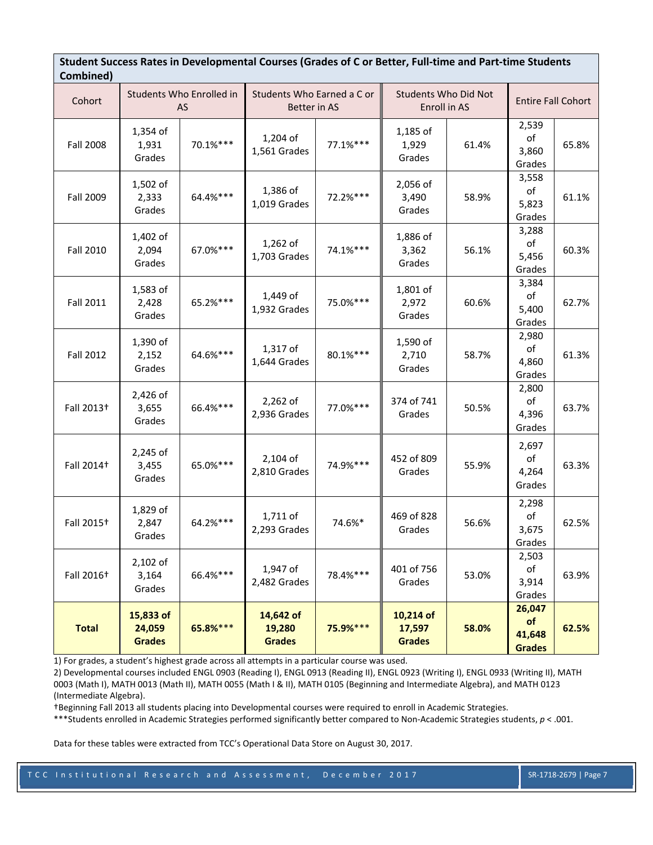| Combined)              |                                      |                                |                                      |                                            |                                      |                                             |                                         |                           |
|------------------------|--------------------------------------|--------------------------------|--------------------------------------|--------------------------------------------|--------------------------------------|---------------------------------------------|-----------------------------------------|---------------------------|
| Cohort                 |                                      | Students Who Enrolled in<br>AS |                                      | Students Who Earned a C or<br>Better in AS |                                      | <b>Students Who Did Not</b><br>Enroll in AS |                                         | <b>Entire Fall Cohort</b> |
| <b>Fall 2008</b>       | 1,354 of<br>1,931<br>Grades          | $70.1\%***$                    | 1,204 of<br>1,561 Grades             | 77.1%***                                   | 1,185 of<br>1,929<br>Grades          | 61.4%                                       | 2,539<br>of<br>3,860<br>Grades          | 65.8%                     |
| Fall 2009              | 1,502 of<br>2,333<br>Grades          | 64.4%***                       | 1,386 of<br>1,019 Grades             | 72.2%***                                   | 2,056 of<br>3,490<br>Grades          | 58.9%                                       | 3,558<br>of<br>5,823<br>Grades          | 61.1%                     |
| <b>Fall 2010</b>       | 1,402 of<br>2,094<br>Grades          | 67.0%***                       | $1,262$ of<br>1,703 Grades           | 74.1%***                                   | 1,886 of<br>3,362<br>Grades          | 56.1%                                       | 3,288<br>of<br>5,456<br>Grades          | 60.3%                     |
| <b>Fall 2011</b>       | 1,583 of<br>2,428<br>Grades          | 65.2%***                       | 1,449 of<br>1,932 Grades             | 75.0%***                                   | 1,801 of<br>2,972<br>Grades          | 60.6%                                       | 3,384<br>of<br>5,400<br>Grades          | 62.7%                     |
| <b>Fall 2012</b>       | 1,390 of<br>2,152<br>Grades          | 64.6%***                       | 1,317 of<br>1,644 Grades             | 80.1%***                                   | 1,590 of<br>2,710<br>Grades          | 58.7%                                       | 2,980<br>of<br>4,860<br>Grades          | 61.3%                     |
| Fall 2013 <sup>+</sup> | 2,426 of<br>3,655<br>Grades          | 66.4%***                       | $2,262$ of<br>2,936 Grades           | 77.0%***                                   | 374 of 741<br>Grades                 | 50.5%                                       | 2,800<br>of<br>4,396<br>Grades          | 63.7%                     |
| Fall 2014 <sup>+</sup> | 2,245 of<br>3,455<br>Grades          | 65.0%***                       | $2,104$ of<br>2,810 Grades           | 74.9%***                                   | 452 of 809<br>Grades                 | 55.9%                                       | 2,697<br>of<br>4,264<br>Grades          | 63.3%                     |
| Fall 2015 <sup>+</sup> | 1,829 of<br>2,847<br>Grades          | 64.2%***                       | 1,711 of<br>2,293 Grades             | 74.6%*                                     | 469 of 828<br>Grades                 | 56.6%                                       | 2,298<br>of<br>3,675<br>Grades          | 62.5%                     |
| Fall 2016 <sup>+</sup> | 2,102 of<br>3,164<br>Grades          | 66.4%***                       | 1,947 of<br>2,482 Grades             | 78.4%***                                   | 401 of 756<br>Grades                 | 53.0%                                       | 2,503<br>оf<br>3,914<br>Grades          | 63.9%                     |
| <b>Total</b>           | 15,833 of<br>24,059<br><b>Grades</b> | 65.8%***                       | 14,642 of<br>19,280<br><b>Grades</b> | 75.9%***                                   | 10,214 of<br>17,597<br><b>Grades</b> | 58.0%                                       | 26,047<br>of<br>41,648<br><b>Grades</b> | 62.5%                     |

Student Success Rates in Developmental Courses (Grades of C or Better, Full-time and Part-time Students

1) For grades, a student's highest grade across all attempts in a particular course was used.

2) Developmental courses included ENGL 0903 (Reading I), ENGL 0913 (Reading II), ENGL 0923 (Writing I), ENGL 0933 (Writing II), MATH 0003 (Math I), MATH 0013 (Math II), MATH 0055 (Math I & II), MATH 0105 (Beginning and Intermediate Algebra), and MATH 0123 (Intermediate Algebra).

†Beginning Fall 2013 all students placing into Developmental courses were required to enroll in Academic Strategies.

\*\*\*Students enrolled in Academic Strategies performed significantly better compared to Non‐Academic Strategies students, *p* < .001.

Data for these tables were extracted from TCC's Operational Data Store on August 30, 2017.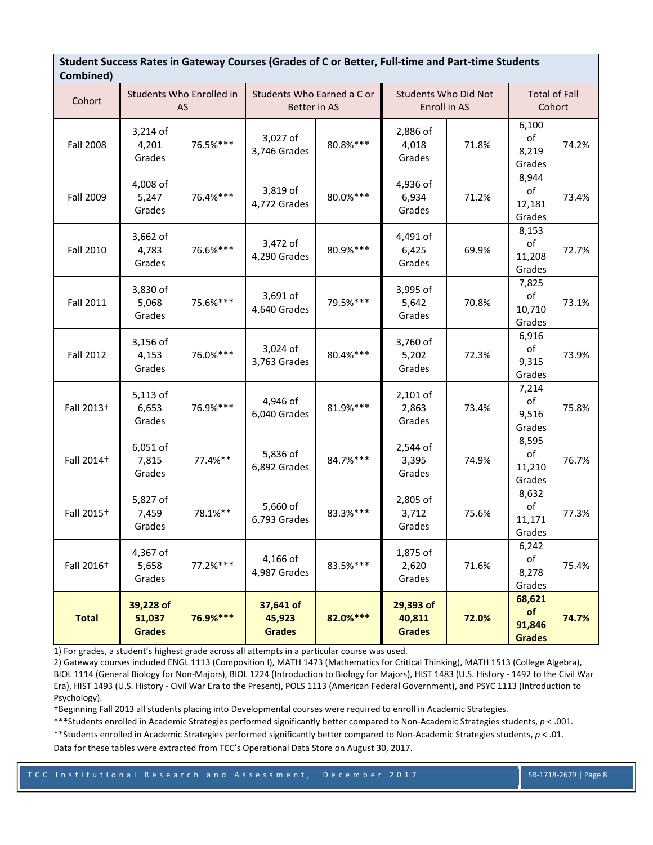| Combined)              | Nates in Gateway Courses (Grades or C or Better) i |                                |                                            |          |                                      |                                             |                                               |                                |  |  |
|------------------------|----------------------------------------------------|--------------------------------|--------------------------------------------|----------|--------------------------------------|---------------------------------------------|-----------------------------------------------|--------------------------------|--|--|
| Cohort                 |                                                    | Students Who Enrolled in<br>AS | Students Who Earned a C or<br>Better in AS |          |                                      | <b>Students Who Did Not</b><br>Enroll in AS |                                               | <b>Total of Fall</b><br>Cohort |  |  |
| <b>Fall 2008</b>       | 3,214 of<br>4,201<br>Grades                        | 76.5%***                       | 3,027 of<br>3,746 Grades                   | 80.8%*** | 2,886 of<br>4,018<br>Grades          | 71.8%                                       | 6,100<br>of<br>8,219<br>Grades                | 74.2%                          |  |  |
| <b>Fall 2009</b>       | 4,008 of<br>5,247<br>Grades                        | 76.4%***                       | 3,819 of<br>4,772 Grades                   | 80.0%*** | 4,936 of<br>6,934<br>Grades          | 71.2%                                       | 8,944<br>of<br>12,181<br>Grades               | 73.4%                          |  |  |
| <b>Fall 2010</b>       | 3,662 of<br>4,783<br>Grades                        | 76.6%***                       | 3,472 of<br>4,290 Grades                   | 80.9%*** | 4,491 of<br>6,425<br>Grades          | 69.9%                                       | 8,153<br>of<br>11,208<br>Grades               | 72.7%                          |  |  |
| <b>Fall 2011</b>       | 3,830 of<br>5,068<br>Grades                        | 75.6%***                       | 3,691 of<br>4,640 Grades                   | 79.5%*** | 3,995 of<br>5,642<br>Grades          | 70.8%                                       | 7,825<br>of<br>10,710<br>Grades               | 73.1%                          |  |  |
| <b>Fall 2012</b>       | 3,156 of<br>4,153<br>Grades                        | 76.0%***                       | 3,024 of<br>3,763 Grades                   | 80.4%*** | 3,760 of<br>5,202<br>Grades          | 72.3%                                       | 6,916<br>of<br>9,315<br>Grades                | 73.9%                          |  |  |
| Fall 2013 <sup>+</sup> | 5,113 of<br>6,653<br>Grades                        | 76.9%***                       | 4,946 of<br>6,040 Grades                   | 81.9%*** | 2,101 of<br>2,863<br>Grades          | 73.4%                                       | 7,214<br>of<br>9,516<br>Grades                | 75.8%                          |  |  |
| Fall 2014 <sup>+</sup> | 6,051 of<br>7,815<br>Grades                        | 77.4%**                        | 5,836 of<br>6,892 Grades                   | 84.7%*** | 2,544 of<br>3,395<br>Grades          | 74.9%                                       | 8,595<br>$_{\mathsf{of}}$<br>11,210<br>Grades | 76.7%                          |  |  |
| Fall 2015 <sup>+</sup> | 5,827 of<br>7,459<br>Grades                        | 78.1%**                        | 5,660 of<br>6,793 Grades                   | 83.3%*** | 2,805 of<br>3,712<br>Grades          | 75.6%                                       | 8,632<br>of<br>11,171<br>Grades               | 77.3%                          |  |  |
| Fall 2016 <sup>+</sup> | 4,367 of<br>5,658<br>Grades                        | 77.2%***                       | 4,166 of<br>4,987 Grades                   | 83.5%*** | 1,875 of<br>2,620<br>Grades          | 71.6%                                       | 6,242<br>of<br>8,278<br>Grades                | 75.4%                          |  |  |
| <b>Total</b>           | 39,228 of<br>51,037<br><b>Grades</b>               | 76.9%***                       | 37,641 of<br>45,923<br><b>Grades</b>       | 82.0%*** | 29,393 of<br>40,811<br><b>Grades</b> | 72.0%                                       | 68,621<br>of<br>91,846<br><b>Grades</b>       | 74.7%                          |  |  |

Student Success Rates in Gateway Courses (Grades of C or Better, Full-time and Part-time Students

1) For grades, a student's highest grade across all attempts in a particular course was used.

2) Gateway courses included ENGL 1113 (Composition I), MATH 1473 (Mathematics for Critical Thinking), MATH 1513 (College Algebra), BIOL 1114 (General Biology for Non‐Majors), BIOL 1224 (Introduction to Biology for Majors), HIST 1483 (U.S. History ‐ 1492 to the Civil War Era), HIST 1493 (U.S. History ‐ Civil War Era to the Present), POLS 1113 (American Federal Government), and PSYC 1113 (Introduction to Psychology).

†Beginning Fall 2013 all students placing into Developmental courses were required to enroll in Academic Strategies.

\*\*\*Students enrolled in Academic Strategies performed significantly better compared to Non‐Academic Strategies students, *p* < .001.

\*\*Students enrolled in Academic Strategies performed significantly better compared to Non‐Academic Strategies students, *p* < .01. Data for these tables were extracted from TCC's Operational Data Store on August 30, 2017.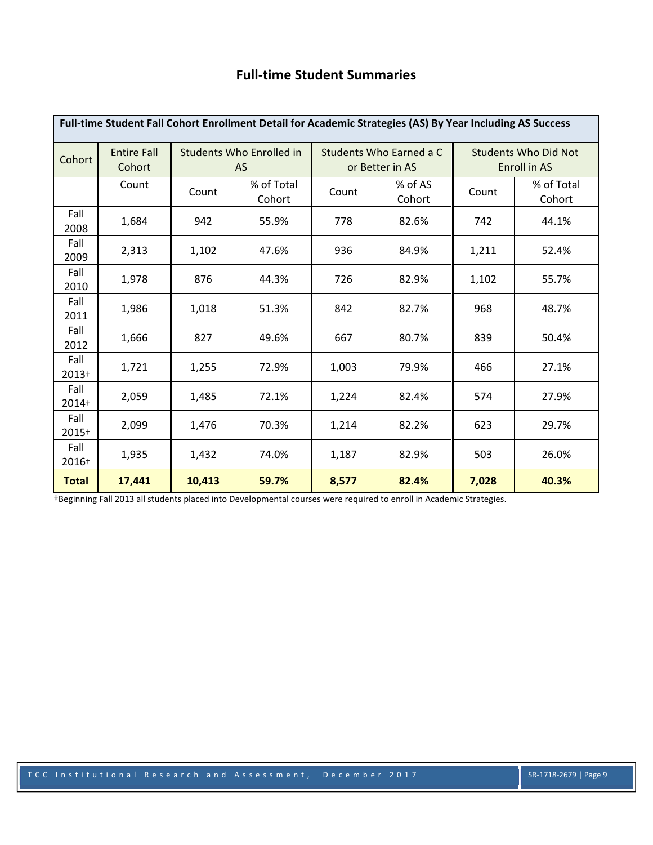## **Full‐time Student Summaries**

| Full-time Student Fall Cohort Enrollment Detail for Academic Strategies (AS) By Year Including AS Success |                              |                                              |                      |       |                                            |                                                    |                      |  |  |  |  |
|-----------------------------------------------------------------------------------------------------------|------------------------------|----------------------------------------------|----------------------|-------|--------------------------------------------|----------------------------------------------------|----------------------|--|--|--|--|
| Cohort                                                                                                    | <b>Entire Fall</b><br>Cohort | <b>Students Who Enrolled in</b><br><b>AS</b> |                      |       | Students Who Earned a C<br>or Better in AS | <b>Students Who Did Not</b><br><b>Enroll in AS</b> |                      |  |  |  |  |
|                                                                                                           | Count                        | Count                                        | % of Total<br>Cohort | Count | % of AS<br>Cohort                          | Count                                              | % of Total<br>Cohort |  |  |  |  |
| Fall<br>2008                                                                                              | 1,684                        | 942                                          | 55.9%                | 778   | 82.6%                                      | 742                                                | 44.1%                |  |  |  |  |
| Fall<br>2009                                                                                              | 2,313                        | 1,102                                        | 47.6%                | 936   | 84.9%                                      | 1,211                                              | 52.4%                |  |  |  |  |
| Fall<br>2010                                                                                              | 1,978                        | 876                                          | 44.3%                | 726   | 82.9%                                      | 1,102                                              | 55.7%                |  |  |  |  |
| Fall<br>2011                                                                                              | 1,986                        | 1,018                                        | 51.3%                | 842   | 82.7%                                      | 968                                                | 48.7%                |  |  |  |  |
| Fall<br>2012                                                                                              | 1,666                        | 827                                          | 49.6%                | 667   | 80.7%                                      | 839                                                | 50.4%                |  |  |  |  |
| Fall<br>2013+                                                                                             | 1,721                        | 1,255                                        | 72.9%                | 1,003 | 79.9%                                      | 466                                                | 27.1%                |  |  |  |  |
| Fall<br>2014+                                                                                             | 2,059                        | 1,485                                        | 72.1%                | 1,224 | 82.4%                                      | 574                                                | 27.9%                |  |  |  |  |
| Fall<br>2015+                                                                                             | 2,099                        | 1,476                                        | 70.3%                | 1,214 | 82.2%                                      | 623                                                | 29.7%                |  |  |  |  |
| Fall<br>2016+                                                                                             | 1,935                        | 1,432                                        | 74.0%                | 1,187 | 82.9%                                      | 503                                                | 26.0%                |  |  |  |  |
| <b>Total</b>                                                                                              | 17,441                       | 10,413                                       | 59.7%                | 8,577 | 82.4%                                      | 7,028                                              | 40.3%                |  |  |  |  |

†Beginning Fall 2013 all students placed into Developmental courses were required to enroll in Academic Strategies.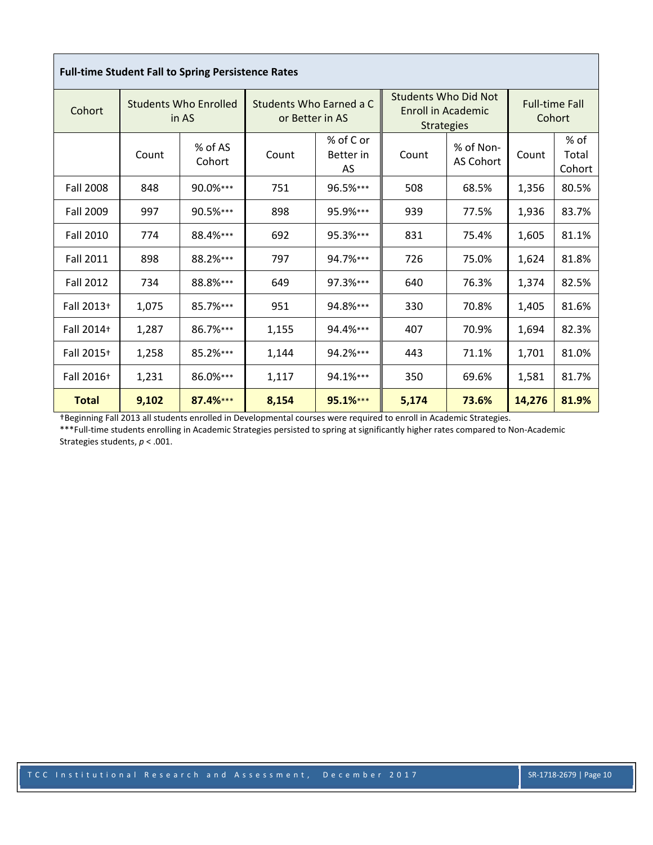|                  |                                       | <b>Full-time Student Fall to Spring Persistence Rates</b> |                                            |                              |                                                                        |                        |                                 |                         |
|------------------|---------------------------------------|-----------------------------------------------------------|--------------------------------------------|------------------------------|------------------------------------------------------------------------|------------------------|---------------------------------|-------------------------|
| Cohort           | <b>Students Who Enrolled</b><br>in AS |                                                           | Students Who Earned a C<br>or Better in AS |                              | Students Who Did Not<br><b>Enroll in Academic</b><br><b>Strategies</b> |                        | <b>Full-time Fall</b><br>Cohort |                         |
|                  | Count                                 | % of AS<br>Cohort                                         | Count                                      | % of C or<br>Better in<br>AS | Count                                                                  | % of Non-<br>AS Cohort | Count                           | % of<br>Total<br>Cohort |
| <b>Fall 2008</b> | 848                                   | 90.0%***                                                  | 751                                        | 96.5%***                     | 508                                                                    | 68.5%                  | 1,356                           | 80.5%                   |
| <b>Fall 2009</b> | 997                                   | $90.5%***$                                                | 898                                        | 95.9%***                     | 939                                                                    | 77.5%                  | 1,936                           | 83.7%                   |
| <b>Fall 2010</b> | 774                                   | 88.4%***                                                  | 692                                        | 95.3%***                     | 831                                                                    | 75.4%                  | 1,605                           | 81.1%                   |
| <b>Fall 2011</b> | 898                                   | 88.2%***                                                  | 797                                        | 94.7%***                     | 726                                                                    | 75.0%                  | 1,624                           | 81.8%                   |
| <b>Fall 2012</b> | 734                                   | 88.8%***                                                  | 649                                        | 97.3%***                     | 640                                                                    | 76.3%                  | 1,374                           | 82.5%                   |
| Fall 2013+       | 1,075                                 | 85.7%***                                                  | 951                                        | 94.8%***                     | 330                                                                    | 70.8%                  | 1,405                           | 81.6%                   |
| Fall 2014+       | 1,287                                 | 86.7%***                                                  | 1,155                                      | 94.4%***                     | 407                                                                    | 70.9%                  | 1,694                           | 82.3%                   |
| Fall 2015+       | 1,258                                 | 85.2%***                                                  | 1,144                                      | 94.2%***                     | 443                                                                    | 71.1%                  | 1,701                           | 81.0%                   |
| Fall 2016+       | 1,231                                 | 86.0%***                                                  | 1,117                                      | 94.1%***                     | 350                                                                    | 69.6%                  | 1,581                           | 81.7%                   |
| <b>Total</b>     | 9,102                                 | 87.4%***                                                  | 8,154                                      | 95.1%***                     | 5,174                                                                  | 73.6%                  | 14,276                          | 81.9%                   |

†Beginning Fall 2013 all students enrolled in Developmental courses were required to enroll in Academic Strategies.

\*\*\*Full-time students enrolling in Academic Strategies persisted to spring at significantly higher rates compared to Non-Academic Strategies students, *p* < .001.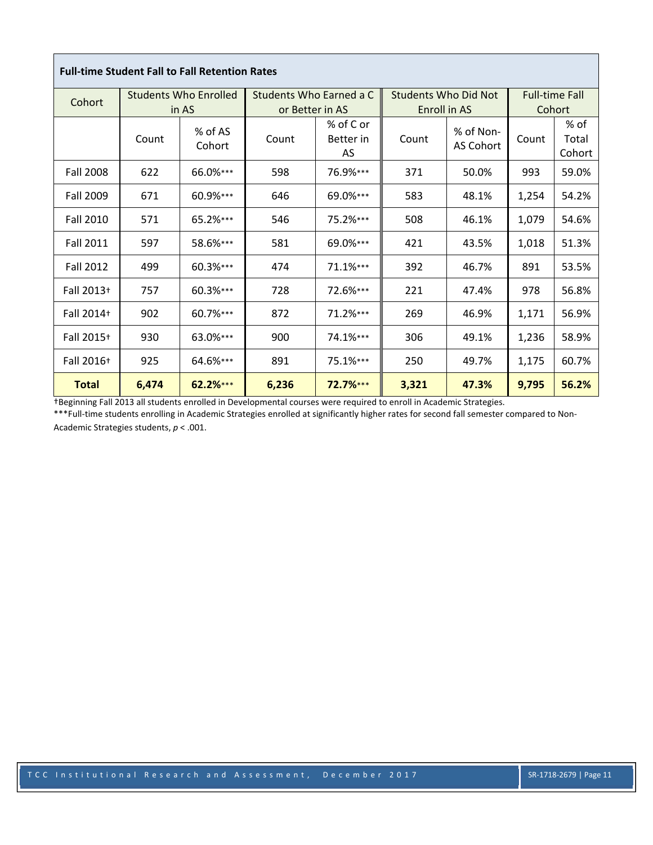| <b>Full-time Student Fall to Fall Retention Rates</b> |       |                              |                 |                              |                             |                        |        |                         |  |  |  |
|-------------------------------------------------------|-------|------------------------------|-----------------|------------------------------|-----------------------------|------------------------|--------|-------------------------|--|--|--|
| Cohort                                                |       | <b>Students Who Enrolled</b> |                 | Students Who Earned a C      | <b>Students Who Did Not</b> |                        |        | <b>Full-time Fall</b>   |  |  |  |
|                                                       |       | in AS                        | or Better in AS |                              |                             | <b>Enroll in AS</b>    | Cohort |                         |  |  |  |
|                                                       | Count | % of AS<br>Cohort            | Count           | % of C or<br>Better in<br>AS | Count                       | % of Non-<br>AS Cohort | Count  | % of<br>Total<br>Cohort |  |  |  |
| <b>Fall 2008</b>                                      | 622   | 66.0%***                     | 598             | 76.9%***                     | 371                         | 50.0%                  | 993    | 59.0%                   |  |  |  |
| Fall 2009                                             | 671   | 60.9%***                     | 646             | 69.0%***                     | 583                         | 48.1%                  | 1,254  | 54.2%                   |  |  |  |
| <b>Fall 2010</b>                                      | 571   | $65.2%***$                   | 546             | 75.2%***                     | 508                         | 46.1%                  | 1,079  | 54.6%                   |  |  |  |
| <b>Fall 2011</b>                                      | 597   | 58.6%***                     | 581             | 69.0%***                     | 421                         | 43.5%                  | 1,018  | 51.3%                   |  |  |  |
| <b>Fall 2012</b>                                      | 499   | 60.3%***                     | 474             | $71.1%***$                   | 392                         | 46.7%                  | 891    | 53.5%                   |  |  |  |
| Fall 2013+                                            | 757   | $60.3%***$                   | 728             | 72.6%***                     | 221                         | 47.4%                  | 978    | 56.8%                   |  |  |  |
| Fall 2014+                                            | 902   | 60.7%***                     | 872             | 71.2%***                     | 269                         | 46.9%                  | 1,171  | 56.9%                   |  |  |  |
| Fall 2015+                                            | 930   | 63.0%***                     | 900             | 74.1%***                     | 306                         | 49.1%                  | 1,236  | 58.9%                   |  |  |  |
| Fall 2016+                                            | 925   | 64.6%***                     | 891             | 75.1%***                     | 250                         | 49.7%                  | 1,175  | 60.7%                   |  |  |  |
| <b>Total</b>                                          | 6,474 | 62.2%***                     | 6,236           | 72.7%***                     | 3,321                       | 47.3%                  | 9,795  | 56.2%                   |  |  |  |

†Beginning Fall 2013 all students enrolled in Developmental courses were required to enroll in Academic Strategies.

\*\*\*Full-time students enrolling in Academic Strategies enrolled at significantly higher rates for second fall semester compared to Non-Academic Strategies students, *p* < .001.